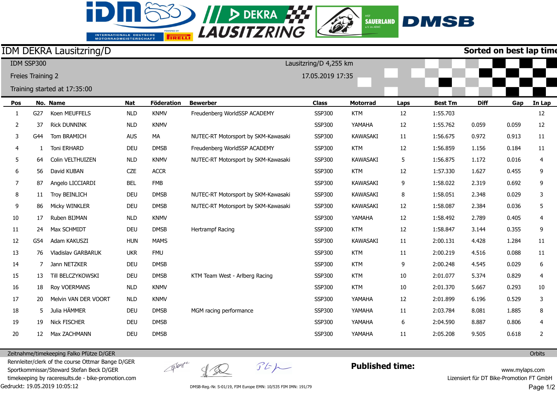## INTERNATIONALE DEUTSCHE<br>MOTORRADMEISTERSCHAFT

id.

**SO II D DEKRA 222** 



## IDM DEKRA Lausitzring/D

**Sorted on best lap time**

|                | IDM SSP300        |                              |            |                   | Lausitzring/D 4,255 km<br>17.05.2019 17:35 |               |                 |      |                |             |       |                |
|----------------|-------------------|------------------------------|------------|-------------------|--------------------------------------------|---------------|-----------------|------|----------------|-------------|-------|----------------|
|                | Freies Training 2 |                              |            |                   |                                            |               |                 |      |                |             |       |                |
|                |                   | Training started at 17:35:00 |            |                   |                                            |               |                 |      |                |             |       |                |
| Pos            |                   | No. Name                     | <b>Nat</b> | <b>Föderation</b> | <b>Bewerber</b>                            | <b>Class</b>  | <b>Motorrad</b> | Laps | <b>Best Tm</b> | <b>Diff</b> | Gap   | In Lap         |
| 1              | G27               | Koen MEUFFELS                | <b>NLD</b> | <b>KNMV</b>       | Freudenberg WorldSSP ACADEMY               | <b>SSP300</b> | <b>KTM</b>      | 12   | 1:55.703       |             |       | 12             |
| 2              | 37                | <b>Rick DUNNINK</b>          | <b>NLD</b> | <b>KNMV</b>       |                                            | <b>SSP300</b> | YAMAHA          | 12   | 1:55.762       | 0.059       | 0.059 | 12             |
| 3              | G44               | Tom BRAMICH                  | <b>AUS</b> | MA                | NUTEC-RT Motorsport by SKM-Kawasaki        | <b>SSP300</b> | <b>KAWASAKI</b> | 11   | 1:56.675       | 0.972       | 0.913 | 11             |
| 4              | 1                 | <b>Toni ERHARD</b>           | <b>DEU</b> | <b>DMSB</b>       | Freudenberg WorldSSP ACADEMY               | <b>SSP300</b> | <b>KTM</b>      | 12   | 1:56.859       | 1.156       | 0.184 | 11             |
| 5              | 64                | Colin VELTHUIZEN             | <b>NLD</b> | <b>KNMV</b>       | NUTEC-RT Motorsport by SKM-Kawasaki        | <b>SSP300</b> | <b>KAWASAKI</b> | 5    | 1:56.875       | 1.172       | 0.016 | $\overline{4}$ |
| 6              | 56                | David KUBAN                  | <b>CZE</b> | <b>ACCR</b>       |                                            | <b>SSP300</b> | <b>KTM</b>      | 12   | 1:57.330       | 1.627       | 0.455 | 9              |
| $\overline{7}$ | 87                | Angelo LICCIARDI             | <b>BEL</b> | <b>FMB</b>        |                                            | <b>SSP300</b> | <b>KAWASAKI</b> | 9    | 1:58.022       | 2.319       | 0.692 | 9              |
| 8              | 11                | <b>Troy BEINLICH</b>         | DEU        | <b>DMSB</b>       | NUTEC-RT Motorsport by SKM-Kawasaki        | <b>SSP300</b> | <b>KAWASAKI</b> | 8    | 1:58.051       | 2.348       | 0.029 | $\mathbf{3}$   |
| 9              | 86                | Micky WINKLER                | DEU        | <b>DMSB</b>       | NUTEC-RT Motorsport by SKM-Kawasaki        | <b>SSP300</b> | <b>KAWASAKI</b> | 12   | 1:58.087       | 2.384       | 0.036 | 5              |
| 10             | 17                | Ruben BIJMAN                 | <b>NLD</b> | <b>KNMV</b>       |                                            | <b>SSP300</b> | YAMAHA          | 12   | 1:58.492       | 2.789       | 0.405 | 4              |
| 11             | 24                | Max SCHMIDT                  | <b>DEU</b> | <b>DMSB</b>       | <b>Hertrampf Racing</b>                    | <b>SSP300</b> | <b>KTM</b>      | 12   | 1:58.847       | 3.144       | 0.355 | 9              |
| 12             | G54               | Adam KAKUSZI                 | <b>HUN</b> | <b>MAMS</b>       |                                            | <b>SSP300</b> | <b>KAWASAKI</b> | 11   | 2:00.131       | 4.428       | 1.284 | 11             |
| 13             | 76                | <b>Vladislav GARBARUK</b>    | <b>UKR</b> | <b>FMU</b>        |                                            | <b>SSP300</b> | <b>KTM</b>      | 11   | 2:00.219       | 4.516       | 0.088 | 11             |
| 14             | 7                 | Jann NETZKER                 | <b>DEU</b> | <b>DMSB</b>       |                                            | <b>SSP300</b> | <b>KTM</b>      | 9    | 2:00.248       | 4.545       | 0.029 | 6              |
| 15             | 13                | Till BELCZYKOWSKI            | <b>DEU</b> | <b>DMSB</b>       | KTM Team West - Arlberg Racing             | SSP300        | <b>KTM</b>      | 10   | 2:01.077       | 5.374       | 0.829 | $\overline{4}$ |
| 16             | 18                | Roy VOERMANS                 | <b>NLD</b> | <b>KNMV</b>       |                                            | <b>SSP300</b> | <b>KTM</b>      | 10   | 2:01.370       | 5.667       | 0.293 | $10\,$         |
| 17             | 20                | Melvin VAN DER VOORT         | <b>NLD</b> | <b>KNMV</b>       |                                            | <b>SSP300</b> | YAMAHA          | 12   | 2:01.899       | 6.196       | 0.529 | 3              |
| 18             | 5                 | Julia HÄMMER                 | <b>DEU</b> | <b>DMSB</b>       | MGM racing performance                     | <b>SSP300</b> | YAMAHA          | 11   | 2:03.784       | 8.081       | 1.885 | 8              |
| 19             | 19                | <b>Nick FISCHER</b>          | <b>DEU</b> | <b>DMSB</b>       |                                            | <b>SSP300</b> | YAMAHA          | 6    | 2:04.590       | 8.887       | 0.806 | 4              |
| 20             | 12 <sup>2</sup>   | Max ZACHMANN                 | <b>DEU</b> | <b>DMSB</b>       |                                            | <b>SSP300</b> | YAMAHA          | 11   | 2:05.208       | 9.505       | 0.618 | $\overline{2}$ |

Zeitnahme/timekeeping Falko Pfütze D/GER

Gedruckt: 19.05.2019 10:05:12 Rennleiter/clerk of the course Ottmar Bange D/GER Sportkommissar/Steward Stefan Beck D/GER timekeeping by raceresults.de - bike-promotion.com

 $\frac{1}{2}$ 

groupe

 $\mathcal{F}E\mathcal{P}$ 

**Published time:**

www.mylaps.com Lizensiert für DT Bike-Promotion FT GmbH Page 1/2

**Orbits** 

DMSB-Reg.-Nr. S-01/19, FIM Europe EMN: 10/535 FIM IMN: 191/79